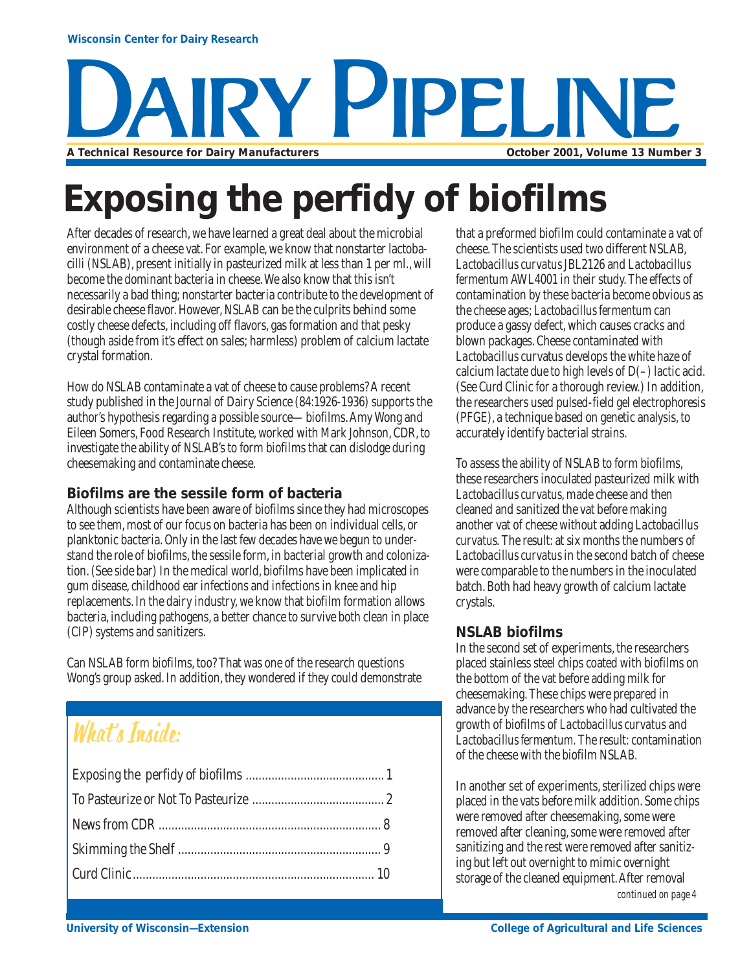# **YY PIPELIN A Technical Resource for Dairy Manufacturers October 2001, Volume 13 Number 3**

## **Exposing the perfidy of biofilms**

After decades of research, we have learned a great deal about the microbial environment of a cheese vat. For example, we know that nonstarter lactobacilli (NSLAB), present initially in pasteurized milk at less than 1 per ml., will become the dominant bacteria in cheese. We also know that this isn't necessarily a bad thing; nonstarter bacteria contribute to the development of desirable cheese flavor. However, NSLAB can be the culprits behind some costly cheese defects, including off flavors, gas formation and that pesky (though aside from it's effect on sales; harmless) problem of calcium lactate crystal formation.

How do NSLAB contaminate a vat of cheese to cause problems? A recent study published in the Journal of Dairy Science (84:1926-1936) supports the author's hypothesis regarding a possible source—biofilms. Amy Wong and Eileen Somers, Food Research Institute, worked with Mark Johnson, CDR, to investigate the ability of NSLAB's to form biofilms that can dislodge during cheesemaking and contaminate cheese.

#### **Biofilms are the sessile form of bacteria**

Although scientists have been aware of biofilms since they had microscopes to see them, most of our focus on bacteria has been on individual cells, or planktonic bacteria. Only in the last few decades have we begun to understand the role of biofilms, the sessile form, in bacterial growth and colonization. (See side bar) In the medical world, biofilms have been implicated in gum disease, childhood ear infections and infections in knee and hip replacements. In the dairy industry, we know that biofilm formation allows bacteria, including pathogens, a better chance to survive both clean in place (CIP) systems and sanitizers.

Can NSLAB form biofilms, too? That was one of the research questions Wong's group asked. In addition, they wondered if they could demonstrate

### What's Inside:

that a preformed biofilm could contaminate a vat of cheese. The scientists used two different NSLAB, *Lactobacillus curvatus* JBL2126 and *Lactobacillus fermentum* AWL4001 in their study. The effects of contamination by these bacteria become obvious as the cheese ages; *Lactobacillus fermentum* can produce a gassy defect, which causes cracks and blown packages. Cheese contaminated with *Lactobacillus* curvatus develops the white haze of calcium lactate due to high levels of  $D(-)$  lactic acid. (See Curd Clinic for a thorough review.) In addition, the researchers used pulsed-field gel electrophoresis (PFGE), a technique based on genetic analysis, to accurately identify bacterial strains.

To assess the ability of NSLAB to form biofilms, these researchers inoculated pasteurized milk with *Lactobacillus curvatus*, made cheese and then cleaned and sanitized the vat before making another vat of cheese without adding *Lactobacillus curvatus.* The result: at six months the numbers of *Lactobacillus curvatus* in the second batch of cheese were comparable to the numbers in the inoculated batch. Both had heavy growth of calcium lactate crystals.

#### **NSLAB biofilms**

In the second set of experiments, the researchers placed stainless steel chips coated with biofilms on the bottom of the vat before adding milk for cheesemaking. These chips were prepared in advance by the researchers who had cultivated the growth of biofilms of *Lactobacillus curvatu*s and *Lactobacillus fermentum.* The result: contamination of the cheese with the biofilm NSLAB.

In another set of experiments, sterilized chips were placed in the vats before milk addition. Some chips were removed after cheesemaking, some were removed after cleaning, some were removed after sanitizing and the rest were removed after sanitizing but left out overnight to mimic overnight storage of the cleaned equipment. After removal *continued on page 4*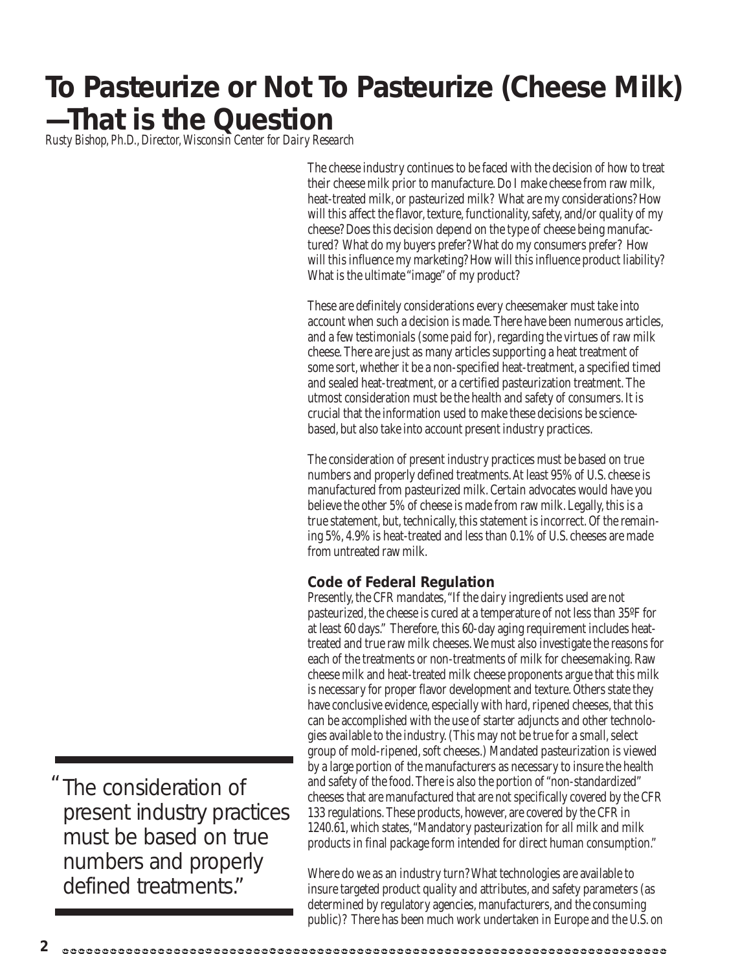### **To Pasteurize or Not To Pasteurize (Cheese Milk) —That is the Question**

*Rusty Bishop, Ph.D., Director, Wisconsin Center for Dairy Research*

The cheese industry continues to be faced with the decision of how to treat their cheese milk prior to manufacture. Do I make cheese from raw milk, heat-treated milk, or pasteurized milk? What are my considerations? How will this affect the flavor, texture, functionality, safety, and/or quality of my cheese? Does this decision depend on the type of cheese being manufactured? What do my buyers prefer? What do my consumers prefer? How will this influence my marketing? How will this influence product liability? What is the ultimate "image" of my product?

These are definitely considerations every cheesemaker must take into account when such a decision is made. There have been numerous articles, and a few testimonials (some paid for), regarding the virtues of raw milk cheese. There are just as many articles supporting a heat treatment of some sort, whether it be a non-specified heat-treatment, a specified timed and sealed heat-treatment, or a certified pasteurization treatment. The utmost consideration must be the health and safety of consumers. It is crucial that the information used to make these decisions be sciencebased, but also take into account present industry practices.

The consideration of present industry practices must be based on true numbers and properly defined treatments. At least 95% of U.S. cheese is manufactured from pasteurized milk. Certain advocates would have you believe the other 5% of cheese is made from raw milk. Legally, this is a true statement, but, technically, this statement is incorrect. Of the remaining 5%, 4.9% is heat-treated and less than 0.1% of U.S. cheeses are made from untreated raw milk.

#### **Code of Federal Regulation**

Presently, the CFR mandates, "If the dairy ingredients used are not pasteurized, the cheese is cured at a temperature of not less than 35ºF for at least 60 days." Therefore, this 60-day aging requirement includes heattreated and true raw milk cheeses. We must also investigate the reasons for each of the treatments or non-treatments of milk for cheesemaking. Raw cheese milk and heat-treated milk cheese proponents argue that this milk is necessary for proper flavor development and texture. Others state they have conclusive evidence, especially with hard, ripened cheeses, that this can be accomplished with the use of starter adjuncts and other technologies available to the industry. (This may not be true for a small, select group of mold-ripened, soft cheeses.) Mandated pasteurization is viewed by a large portion of the manufacturers as necessary to insure the health and safety of the food. There is also the portion of "non-standardized" cheeses that are manufactured that are not specifically covered by the CFR 133 regulations. These products, however, are covered by the CFR in 1240.61, which states, "Mandatory pasteurization for all milk and milk products in final package form intended for direct human consumption."

Where do we as an industry turn? What technologies are available to insure targeted product quality and attributes, and safety parameters (as determined by regulatory agencies, manufacturers, and the consuming public)? There has been much work undertaken in Europe and the U.S. on

The consideration of present industry practices must be based on true numbers and properly defined treatments."  $^{\prime\prime}$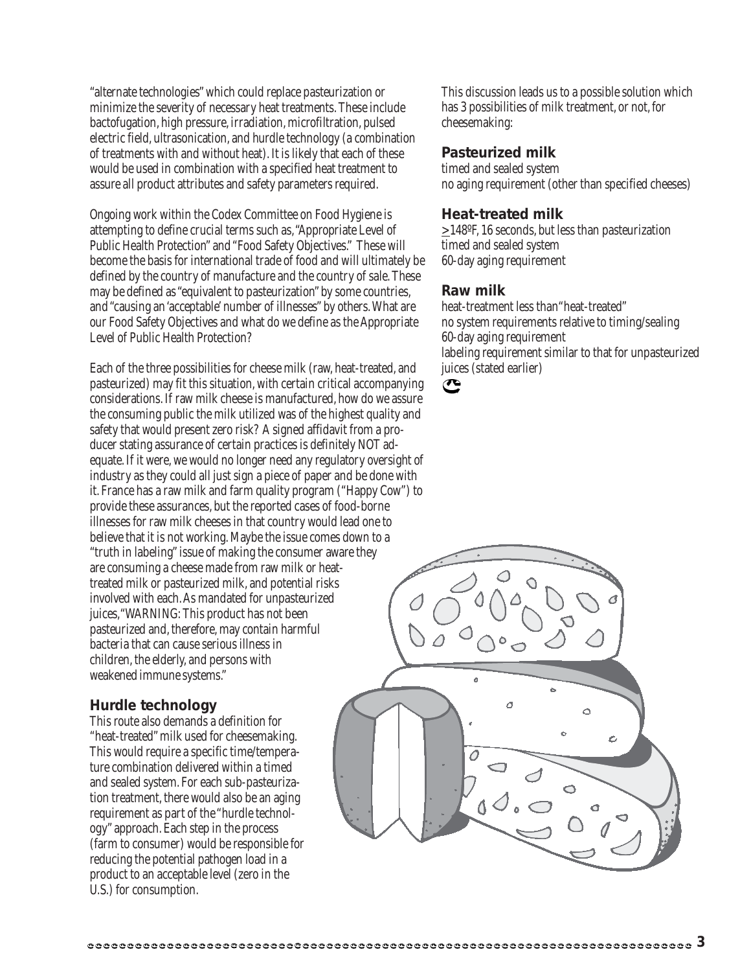"alternate technologies" which could replace pasteurization or minimize the severity of necessary heat treatments. These include bactofugation, high pressure, irradiation, microfiltration, pulsed electric field, ultrasonication, and hurdle technology (a combination of treatments with and without heat). It is likely that each of these would be used in combination with a specified heat treatment to assure all product attributes and safety parameters required.

Ongoing work within the Codex Committee on Food Hygiene is attempting to define crucial terms such as, "Appropriate Level of Public Health Protection" and "Food Safety Objectives." These will become the basis for international trade of food and will ultimately be defined by the country of manufacture and the country of sale. These may be defined as "equivalent to pasteurization" by some countries, and "causing an 'acceptable' number of illnesses" by others. What are our Food Safety Objectives and what do we define as the Appropriate Level of Public Health Protection?

Each of the three possibilities for cheese milk (raw, heat-treated, and pasteurized) may fit this situation, with certain critical accompanying considerations. If raw milk cheese is manufactured, how do we assure the consuming public the milk utilized was of the highest quality and safety that would present zero risk? A signed affidavit from a producer stating assurance of certain practices is definitely NOT adequate. If it were, we would no longer need any regulatory oversight of industry as they could all just sign a piece of paper and be done with it. France has a raw milk and farm quality program ("Happy Cow") to provide these assurances, but the reported cases of food-borne illnesses for raw milk cheeses in that country would lead one to believe that it is not working. Maybe the issue comes down to a "truth in labeling" issue of making the consumer aware they are consuming a cheese made from raw milk or heattreated milk or pasteurized milk, and potential risks involved with each. As mandated for unpasteurized juices,"WARNING: This product has not been pasteurized and, therefore, may contain harmful bacteria that can cause serious illness in children, the elderly, and persons with weakened immune systems."

#### **Hurdle technology**

This route also demands a definition for "heat-treated" milk used for cheesemaking. This would require a specific time/temperature combination delivered within a timed and sealed system. For each sub-pasteurization treatment, there would also be an aging requirement as part of the "hurdle technology" approach. Each step in the process (farm to consumer) would be responsible for reducing the potential pathogen load in a product to an acceptable level (zero in the U.S.) for consumption.

This discussion leads us to a possible solution which has 3 possibilities of milk treatment, or not, for cheesemaking:

#### **Pasteurized milk**

timed and sealed system no aging requirement (other than specified cheeses)

#### **Heat-treated milk**

>148ºF, 16 seconds, but less than pasteurization timed and sealed system 60-day aging requirement

#### **Raw milk**

heat-treatment less than"heat-treated" no system requirements relative to timing/sealing 60-day aging requirement labeling requirement similar to that for unpasteurized juices (stated earlier)



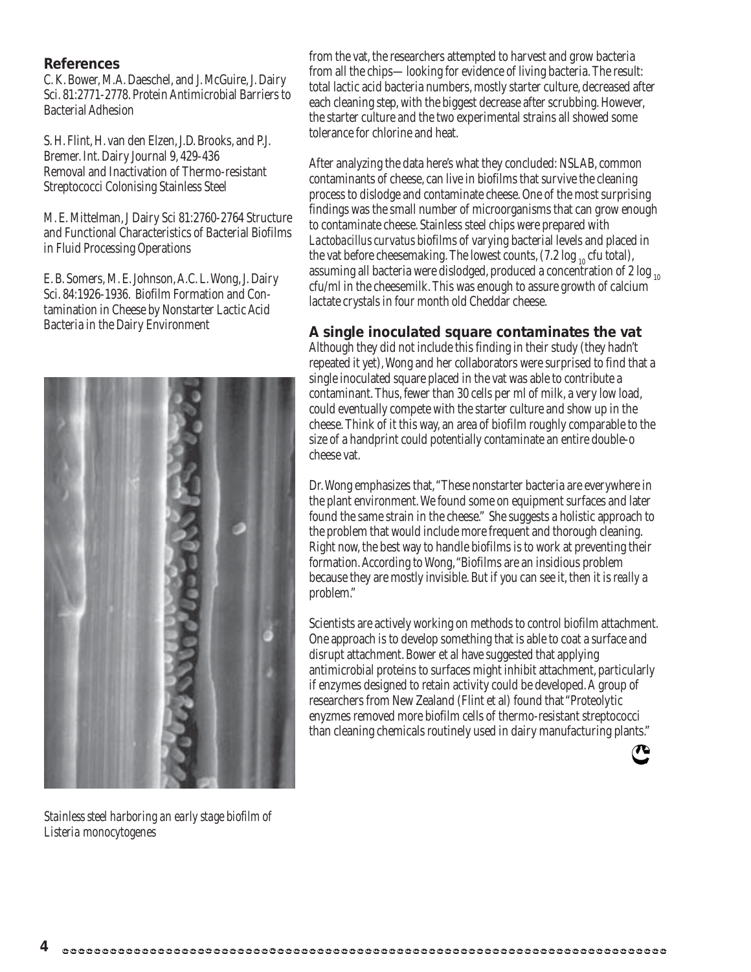#### **References**

C. K. Bower, M.A. Daeschel, and J. McGuire, J. Dairy Sci. 81:2771-2778. Protein Antimicrobial Barriers to Bacterial Adhesion

S. H. Flint, H. van den Elzen, J.D. Brooks, and P.J. Bremer. Int. Dairy Journal 9, 429-436 Removal and Inactivation of Thermo-resistant Streptococci Colonising Stainless Steel

M. E. Mittelman, J Dairy Sci 81:2760-2764 Structure and Functional Characteristics of Bacterial Biofilms in Fluid Processing Operations

E. B. Somers, M. E. Johnson, A.C. L. Wong, J. Dairy Sci. 84:1926-1936. Biofilm Formation and Contamination in Cheese by Nonstarter Lactic Acid Bacteria in the Dairy Environment



*Stainless steel harboring an early stage biofilm of Listeria monocytogenes*

from the vat, the researchers attempted to harvest and grow bacteria from all the chips—looking for evidence of living bacteria. The result: total lactic acid bacteria numbers, mostly starter culture, decreased after each cleaning step, with the biggest decrease after scrubbing. However, the starter culture and the two experimental strains all showed some tolerance for chlorine and heat.

After analyzing the data here's what they concluded: NSLAB, common contaminants of cheese, can live in biofilms that survive the cleaning process to dislodge and contaminate cheese. One of the most surprising findings was the small number of microorganisms that can grow enough to contaminate cheese. Stainless steel chips were prepared with *Lactobacillus curvatus* biofilms of varying bacterial levels and placed in the vat before cheesemaking. The lowest counts,  $(7.2 \log_{10} c \text{ft total})$ , assuming all bacteria were dislodged, produced a concentration of 2  $log_{10}$ cfu/ml in the cheesemilk. This was enough to assure growth of calcium lactate crystals in four month old Cheddar cheese.

#### **A single inoculated square contaminates the vat**

Although they did not include this finding in their study (they hadn't repeated it yet), Wong and her collaborators were surprised to find that a single inoculated square placed in the vat was able to contribute a contaminant. Thus, fewer than 30 cells per ml of milk, a very low load, could eventually compete with the starter culture and show up in the cheese. Think of it this way, an area of biofilm roughly comparable to the size of a handprint could potentially contaminate an entire double-o cheese vat.

Dr. Wong emphasizes that, "These nonstarter bacteria are everywhere in the plant environment. We found some on equipment surfaces and later found the same strain in the cheese." She suggests a holistic approach to the problem that would include more frequent and thorough cleaning. Right now, the best way to handle biofilms is to work at preventing their formation. According to Wong, "Biofilms are an insidious problem because they are mostly invisible. But if you can see it, then it is *really* a problem."

Scientists are actively working on methods to control biofilm attachment. One approach is to develop something that is able to coat a surface and disrupt attachment. Bower et al have suggested that applying antimicrobial proteins to surfaces might inhibit attachment, particularly if enzymes designed to retain activity could be developed. A group of researchers from New Zealand (Flint et al) found that "Proteolytic enyzmes removed more biofilm cells of thermo-resistant streptococci than cleaning chemicals routinely used in dairy manufacturing plants."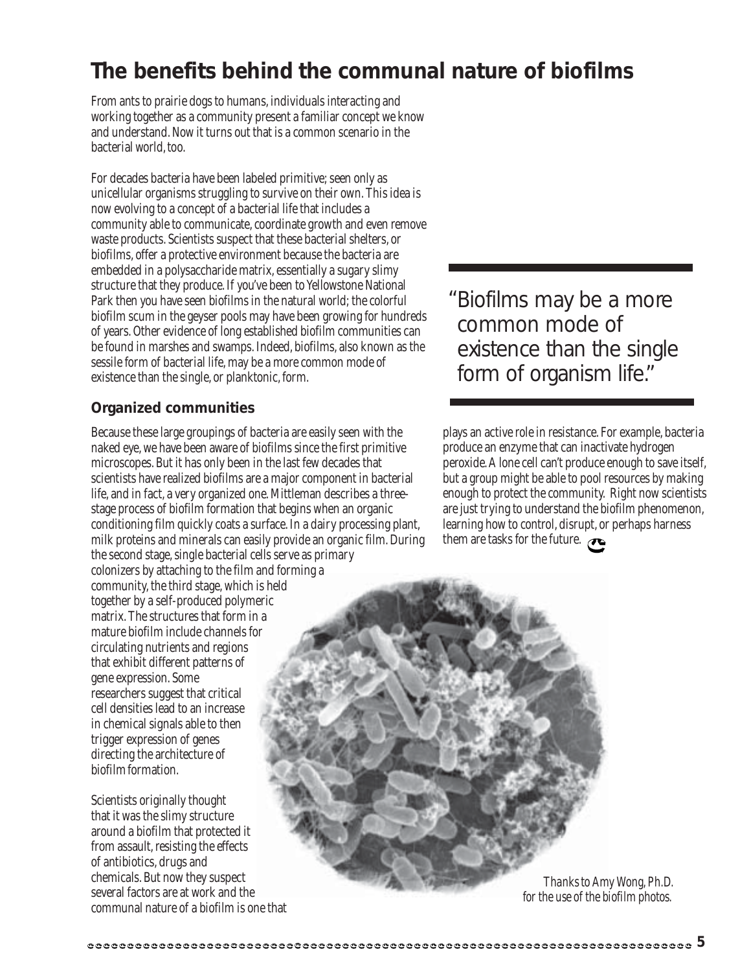### **The benefits behind the communal nature of biofilms**

From ants to prairie dogs to humans, individuals interacting and working together as a community present a familiar concept we know and understand. Now it turns out that is a common scenario in the bacterial world, too.

For decades bacteria have been labeled primitive; seen only as unicellular organisms struggling to survive on their own. This idea is now evolving to a concept of a bacterial life that includes a community able to communicate, coordinate growth and even remove waste products. Scientists suspect that these bacterial shelters, or biofilms, offer a protective environment because the bacteria are embedded in a polysaccharide matrix, essentially a sugary slimy structure that they produce. If you've been to Yellowstone National Park then you have seen biofilms in the natural world; the colorful biofilm scum in the geyser pools may have been growing for hundreds of years. Other evidence of long established biofilm communities can be found in marshes and swamps. Indeed, biofilms, also known as the sessile form of bacterial life, may be a more common mode of existence than the single, or planktonic, form.

#### **Organized communities**

Because these large groupings of bacteria are easily seen with the naked eye, we have been aware of biofilms since the first primitive microscopes. But it has only been in the last few decades that scientists have realized biofilms are a major component in bacterial life, and in fact, a very organized one. Mittleman describes a threestage process of biofilm formation that begins when an organic conditioning film quickly coats a surface. In a dairy processing plant, milk proteins and minerals can easily provide an organic film. During the second stage, single bacterial cells serve as primary colonizers by attaching to the film and forming a community, the third stage, which is held together by a self-produced polymeric matrix. The structures that form in a mature biofilm include channels for circulating nutrients and regions that exhibit different patterns of gene expression. Some researchers suggest that critical cell densities lead to an increase in chemical signals able to then trigger expression of genes directing the architecture of biofilm formation.

Scientists originally thought that it was the slimy structure around a biofilm that protected it from assault, resisting the effects of antibiotics, drugs and chemicals. But now they suspect several factors are at work and the communal nature of a biofilm is one that Biofilms may be a more " common mode of existence than the single form of organism life."

plays an active role in resistance. For example, bacteria produce an enzyme that can inactivate hydrogen peroxide. A lone cell can't produce enough to save itself, but a group might be able to pool resources by making enough to protect the community. Right now scientists are just trying to understand the biofilm phenomenon, learning how to control, disrupt, or perhaps harness them are tasks for the future.

*Thanks to Amy Wong, Ph.D. for the use of the biofilm photos.*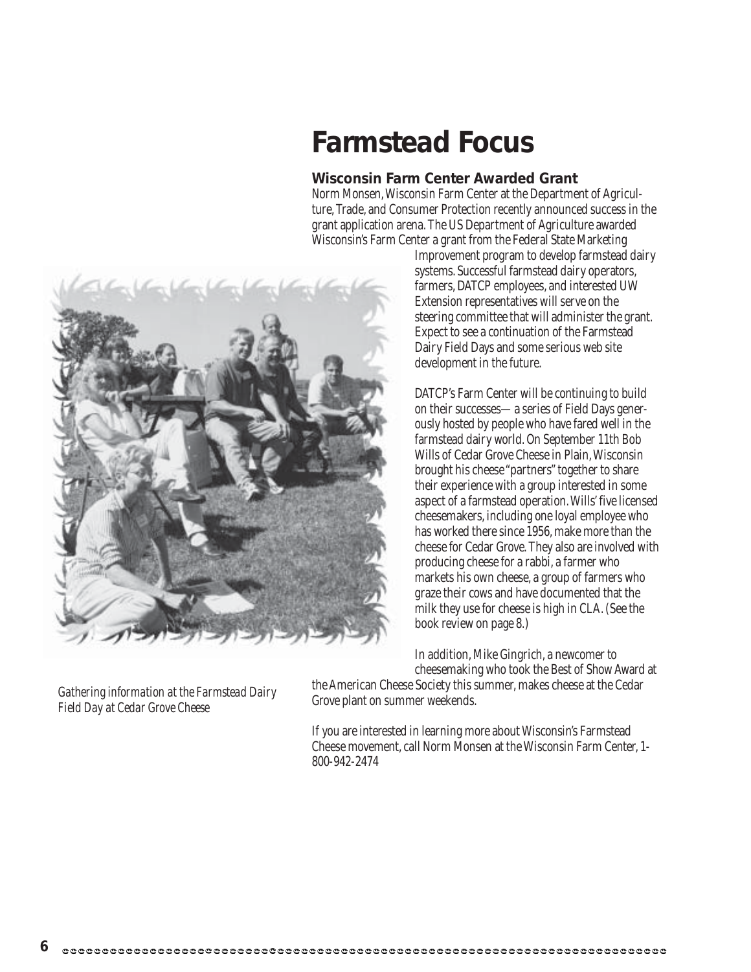### **Farmstead Focus**

#### **Wisconsin Farm Center Awarded Grant**

Norm Monsen, Wisconsin Farm Center at the Department of Agriculture, Trade, and Consumer Protection recently announced success in the grant application arena. The US Department of Agriculture awarded Wisconsin's Farm Center a grant from the Federal State Marketing



Improvement program to develop farmstead dairy systems. Successful farmstead dairy operators, farmers, DATCP employees, and interested UW Extension representatives will serve on the steering committee that will administer the grant. Expect to see a continuation of the Farmstead Dairy Field Days and some serious web site development in the future.

DATCP's Farm Center will be continuing to build on their successes—a series of Field Days generously hosted by people who have fared well in the farmstead dairy world. On September 11th Bob Wills of Cedar Grove Cheese in Plain, Wisconsin brought his cheese "partners" together to share their experience with a group interested in some aspect of a farmstead operation. Wills' five licensed cheesemakers, including one loyal employee who has worked there since 1956, make more than the cheese for Cedar Grove. They also are involved with producing cheese for a rabbi, a farmer who markets his own cheese, a group of farmers who graze their cows and have documented that the milk they use for cheese is high in CLA. (See the book review on page 8.)

In addition, Mike Gingrich, a newcomer to cheesemaking who took the Best of Show Award at

the American Cheese Society this summer, makes cheese at the Cedar Grove plant on summer weekends.

If you are interested in learning more about Wisconsin's Farmstead Cheese movement, call Norm Monsen at the Wisconsin Farm Center, 1- 800-942-2474

*Gathering information at the Farmstead Dairy Field Day at Cedar Grove Cheese*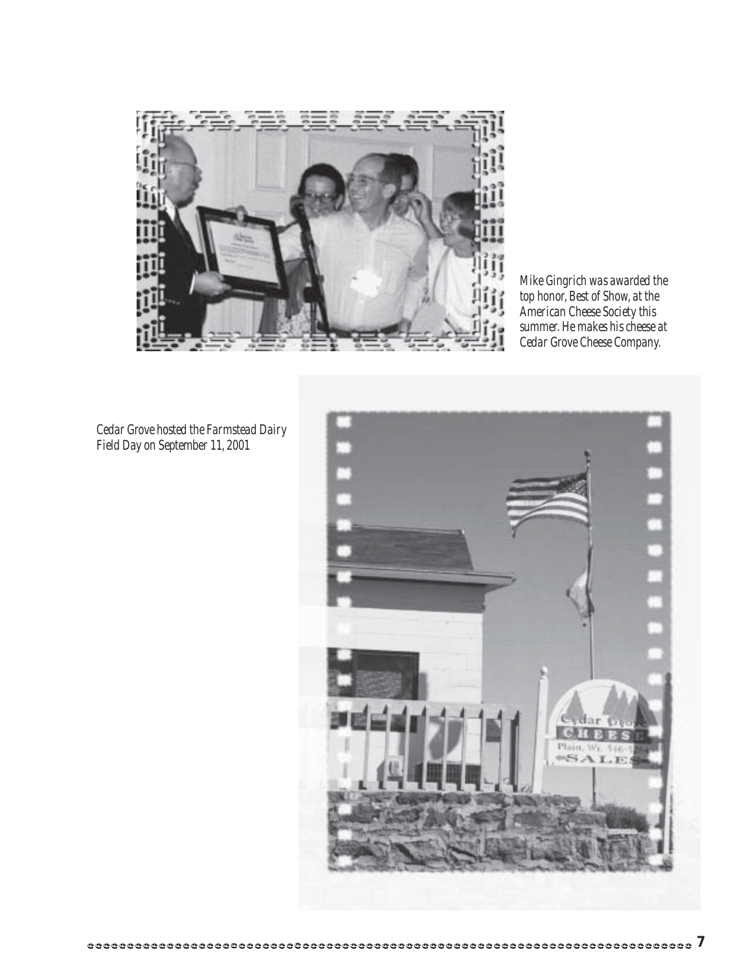

*Mike Gingrich was awarded the top honor, Best of Show, at the American Cheese Society this summer. He makes his cheese at Cedar Grove Cheese Company.*

*Cedar Grove hosted the Farmstead Dairy Field Day on September 11, 2001*

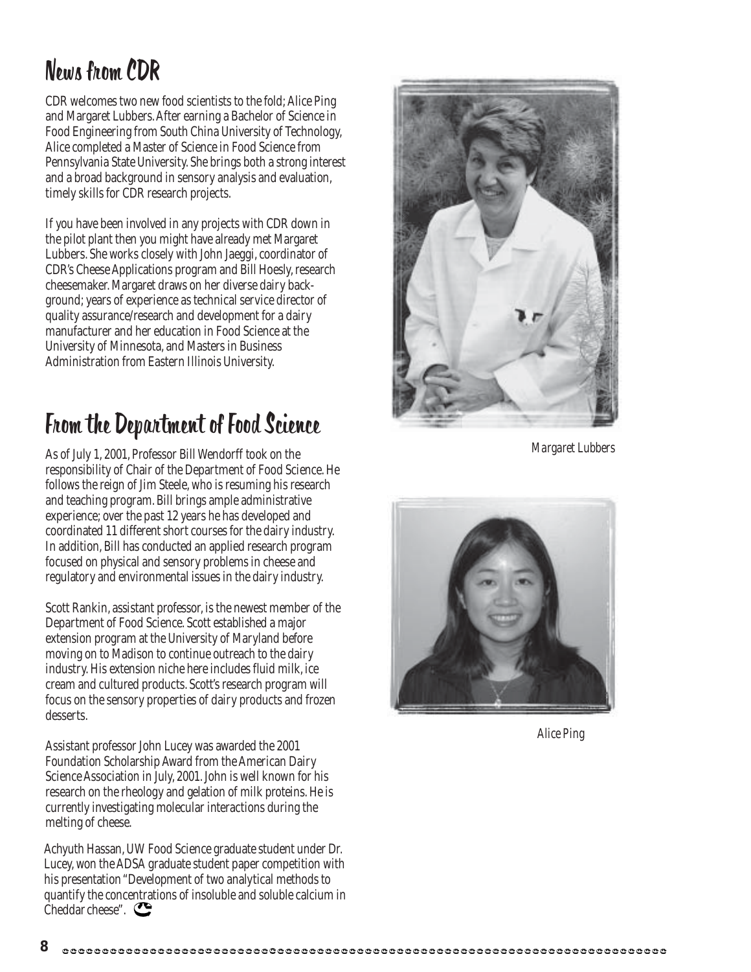### News from CDR

CDR welcomes two new food scientists to the fold; Alice Ping and Margaret Lubbers. After earning a Bachelor of Science in Food Engineering from South China University of Technology, Alice completed a Master of Science in Food Science from Pennsylvania State University. She brings both a strong interest and a broad background in sensory analysis and evaluation, timely skills for CDR research projects.

If you have been involved in any projects with CDR down in the pilot plant then you might have already met Margaret Lubbers. She works closely with John Jaeggi, coordinator of CDR's Cheese Applications program and Bill Hoesly, research cheesemaker. Margaret draws on her diverse dairy background; years of experience as technical service director of quality assurance/research and development for a dairy manufacturer and her education in Food Science at the University of Minnesota, and Masters in Business Administration from Eastern Illinois University.

### From the Department of Food Science

As of July 1, 2001, Professor Bill Wendorff took on the responsibility of Chair of the Department of Food Science. He follows the reign of Jim Steele, who is resuming his research and teaching program. Bill brings ample administrative experience; over the past 12 years he has developed and coordinated 11 different short courses for the dairy industry. In addition, Bill has conducted an applied research program focused on physical and sensory problems in cheese and regulatory and environmental issues in the dairy industry.

Scott Rankin, assistant professor, is the newest member of the Department of Food Science. Scott established a major extension program at the University of Maryland before moving on to Madison to continue outreach to the dairy industry. His extension niche here includes fluid milk, ice cream and cultured products. Scott's research program will focus on the sensory properties of dairy products and frozen desserts.

Assistant professor John Lucey was awarded the 2001 Foundation Scholarship Award from the American Dairy Science Association in July, 2001. John is well known for his research on the rheology and gelation of milk proteins. He is currently investigating molecular interactions during the melting of cheese.

Achyuth Hassan, UW Food Science graduate student under Dr. Lucey, won the ADSA graduate student paper competition with his presentation "Development of two analytical methods to quantify the concentrations of insoluble and soluble calcium in Cheddar cheese".



*Margaret Lubbers*



*Alice Ping*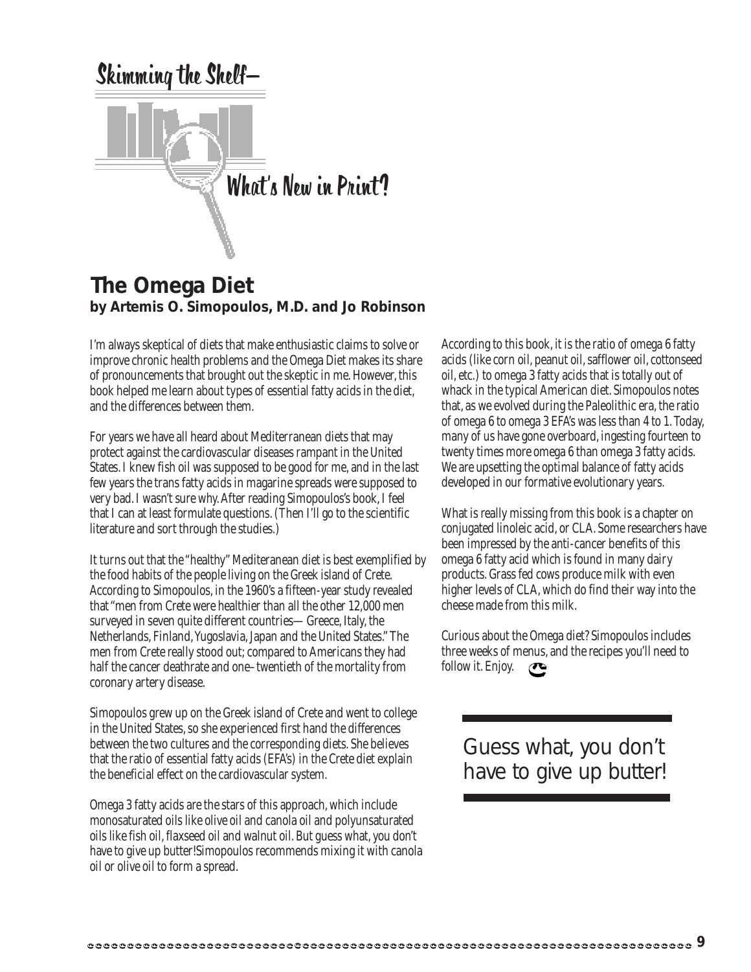

#### **The Omega Diet by Artemis O. Simopoulos, M.D. and Jo Robinson**

I'm always skeptical of diets that make enthusiastic claims to solve or improve chronic health problems and the Omega Diet makes its share of pronouncements that brought out the skeptic in me. However, this book helped me learn about types of essential fatty acids in the diet, and the differences between them.

For years we have all heard about Mediterranean diets that may protect against the cardiovascular diseases rampant in the United States. I knew fish oil was supposed to be good for me, and in the last few years the trans fatty acids in magarine spreads were supposed to very bad. I wasn't sure why. After reading Simopoulos's book, I feel that I can at least formulate questions. (Then I'll go to the scientific literature and sort through the studies.)

It turns out that the "healthy" Mediteranean diet is best exemplified by the food habits of the people living on the Greek island of Crete. According to Simopoulos, in the 1960's a fifteen-year study revealed that "men from Crete were healthier than all the other 12,000 men surveyed in seven quite different countries—Greece, Italy, the Netherlands, Finland, Yugoslavia, Japan and the United States." The men from Crete really stood out; compared to Americans they had half the cancer deathrate and one–twentieth of the mortality from coronary artery disease.

Simopoulos grew up on the Greek island of Crete and went to college in the United States, so she experienced first hand the differences between the two cultures and the corresponding diets. She believes that the ratio of essential fatty acids (EFA's) in the Crete diet explain the beneficial effect on the cardiovascular system.

Omega 3 fatty acids are the stars of this approach, which include monosaturated oils like olive oil and canola oil and polyunsaturated oils like fish oil, flaxseed oil and walnut oil. But guess what, you don't have to give up butter!Simopoulos recommends mixing it with canola oil or olive oil to form a spread.

According to this book, it is the ratio of omega 6 fatty acids (like corn oil, peanut oil, safflower oil, cottonseed oil, etc.) to omega 3 fatty acids that is totally out of whack in the typical American diet. Simopoulos notes that, as we evolved during the Paleolithic era, the ratio of omega 6 to omega 3 EFA's was less than 4 to 1. Today, many of us have gone overboard, ingesting fourteen to twenty times more omega 6 than omega 3 fatty acids. We are upsetting the optimal balance of fatty acids developed in our formative evolutionary years.

What is really missing from this book is a chapter on conjugated linoleic acid, or CLA. Some researchers have been impressed by the anti-cancer benefits of this omega 6 fatty acid which is found in many dairy products. Grass fed cows produce milk with even higher levels of CLA, which do find their way into the cheese made from this milk.

Curious about the Omega diet? Simopoulos includes three weeks of menus, and the recipes you'll need to follow it. Enjoy.  $\bullet$ 

Guess what, you don't have to give up butter!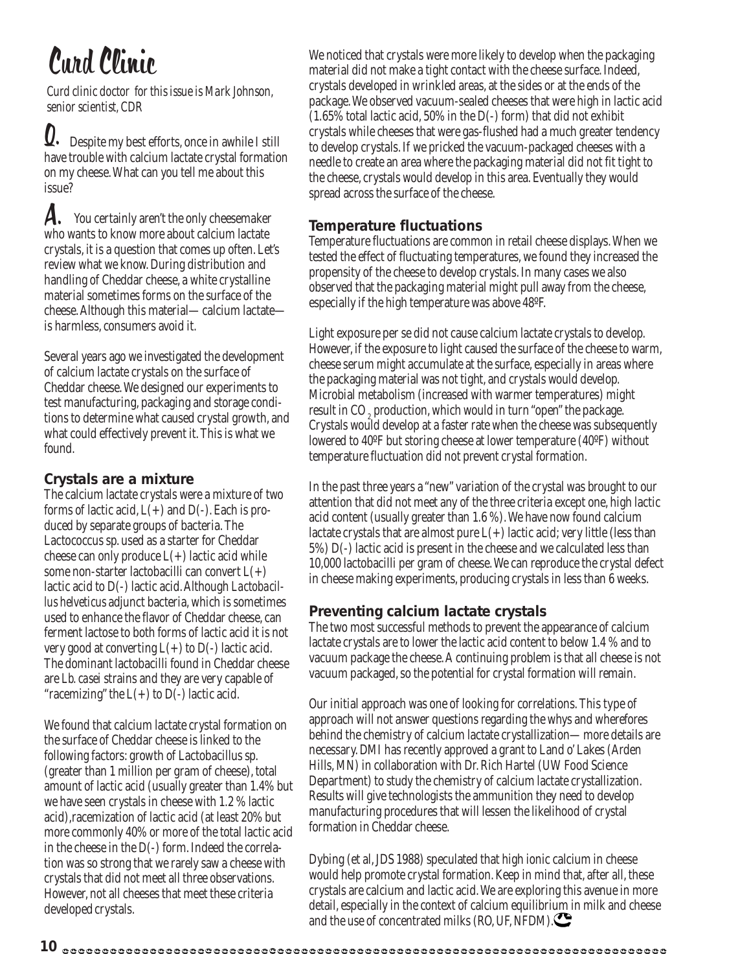# Curd Clinic

*Curd clinic doctor for this issue is Mark Johnson, senior scientist, CDR*

 Despite my best efforts, once in awhile I still have trouble with calcium lactate crystal formation on my cheese. What can you tell me about this issue?  $\overline{\mathsf{U}}$ .

 You certainly aren't the only cheesemaker who wants to know more about calcium lactate crystals, it is a question that comes up often. Let's review what we know. During distribution and handling of Cheddar cheese, a white crystalline material sometimes forms on the surface of the cheese. Although this material—calcium lactate is harmless, consumers avoid it. A.

Several years ago we investigated the development of calcium lactate crystals on the surface of Cheddar cheese. We designed our experiments to test manufacturing, packaging and storage conditions to determine what caused crystal growth, and what could effectively prevent it. This is what we found.

#### **Crystals are a mixture**

The calcium lactate crystals were a mixture of two forms of lactic acid,  $L(+)$  and  $D(-)$ . Each is produced by separate groups of bacteria. The Lactococcus sp. used as a starter for Cheddar cheese can only produce  $L(+)$  lactic acid while some non-starter lactobacilli can convert  $L(+)$ lactic acid to D(-) lactic acid. Although *Lactobacillus helveticus* adjunct bacteria, which is sometimes used to enhance the flavor of Cheddar cheese, can ferment lactose to both forms of lactic acid it is not very good at converting  $L(+)$  to  $D(-)$  lactic acid. The dominant lactobacilli found in Cheddar cheese are *Lb. casei* strains and they are very capable of "racemizing" the  $L(+)$  to  $D(-)$  lactic acid.

We found that calcium lactate crystal formation on the surface of Cheddar cheese is linked to the following factors: growth of Lactobacillus sp. (greater than 1 million per gram of cheese), total amount of lactic acid (usually greater than 1.4% but we have seen crystals in cheese with 1.2 % lactic acid),racemization of lactic acid (at least 20% but more commonly 40% or more of the total lactic acid in the cheese in the D(-) form. Indeed the correlation was so strong that we rarely saw a cheese with crystals that did not meet all three observations. However, not all cheeses that meet these criteria developed crystals.

We noticed that crystals were more likely to develop when the packaging material did not make a tight contact with the cheese surface. Indeed, crystals developed in wrinkled areas, at the sides or at the ends of the package. We observed vacuum-sealed cheeses that were high in lactic acid (1.65% total lactic acid, 50% in the D(-) form) that did not exhibit crystals while cheeses that were gas-flushed had a much greater tendency to develop crystals. If we pricked the vacuum-packaged cheeses with a needle to create an area where the packaging material did not fit tight to the cheese, crystals would develop in this area. Eventually they would spread across the surface of the cheese.

#### **Temperature fluctuations**

Temperature fluctuations are common in retail cheese displays. When we tested the effect of fluctuating temperatures, we found they increased the propensity of the cheese to develop crystals. In many cases we also observed that the packaging material might pull away from the cheese, especially if the high temperature was above 48ºF.

Light exposure per se did not cause calcium lactate crystals to develop. However, if the exposure to light caused the surface of the cheese to warm, cheese serum might accumulate at the surface, especially in areas where the packaging material was not tight, and crystals would develop. Microbial metabolism (increased with warmer temperatures) might result in CO<sub>2</sub> production, which would in turn "open" the package. Crystals would develop at a faster rate when the cheese was subsequently lowered to 40ºF but storing cheese at lower temperature (40ºF) without temperature fluctuation did not prevent crystal formation.

In the past three years a "new" variation of the crystal was brought to our attention that did not meet any of the three criteria except one, high lactic acid content (usually greater than 1.6 %). We have now found calcium lactate crystals that are almost pure  $L(+)$  lactic acid; very little (less than 5%) D(-) lactic acid is present in the cheese and we calculated less than 10,000 lactobacilli per gram of cheese. We can reproduce the crystal defect in cheese making experiments, producing crystals in less than 6 weeks.

#### **Preventing calcium lactate crystals**

The two most successful methods to prevent the appearance of calcium lactate crystals are to lower the lactic acid content to below 1.4 % and to vacuum package the cheese. A continuing problem is that all cheese is not vacuum packaged, so the potential for crystal formation will remain.

Our initial approach was one of looking for correlations. This type of approach will not answer questions regarding the whys and wherefores behind the chemistry of calcium lactate crystallization—more details are necessary. DMI has recently approved a grant to Land o' Lakes (Arden Hills, MN) in collaboration with Dr. Rich Hartel (UW Food Science Department) to study the chemistry of calcium lactate crystallization. Results will give technologists the ammunition they need to develop manufacturing procedures that will lessen the likelihood of crystal formation in Cheddar cheese.

Dybing (et al, JDS 1988) speculated that high ionic calcium in cheese would help promote crystal formation. Keep in mind that, after all, these crystals are calcium and lactic acid. We are exploring this avenue in more detail, especially in the context of calcium equilibrium in milk and cheese and the use of concentrated milks (RO, UF, NFDM).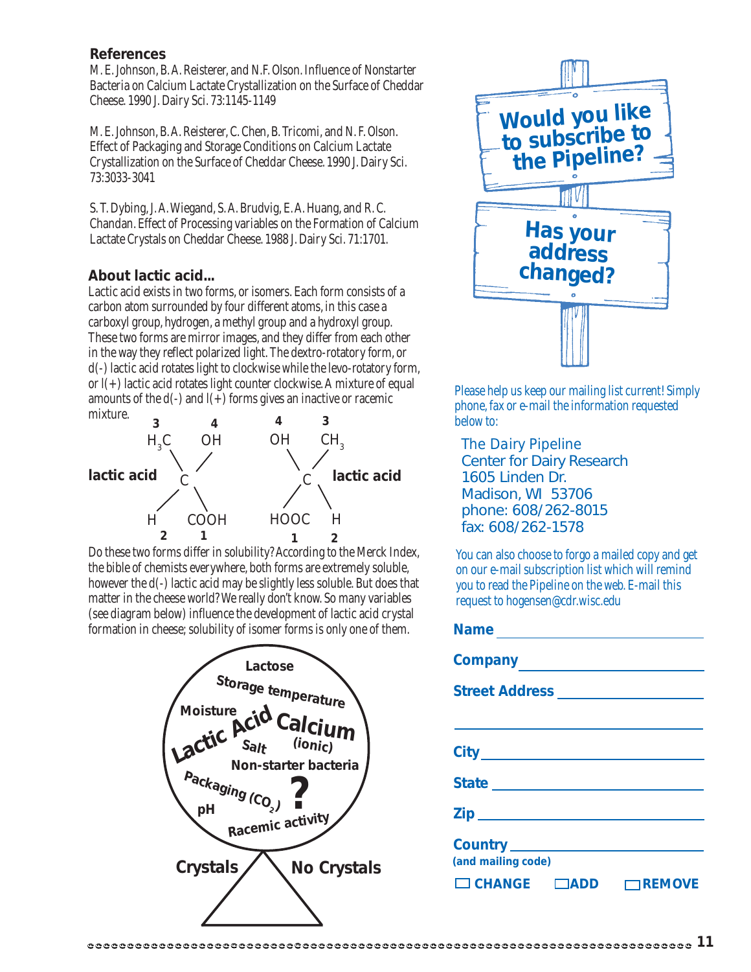#### **References**

M. E. Johnson, B. A. Reisterer, and N.F. Olson. Influence of Nonstarter Bacteria on Calcium Lactate Crystallization on the Surface of Cheddar Cheese. 1990 J. Dairy Sci. 73:1145-1149

M. E. Johnson, B. A. Reisterer, C. Chen, B. Tricomi, and N. F. Olson. Effect of Packaging and Storage Conditions on Calcium Lactate Crystallization on the Surface of Cheddar Cheese. 1990 J. Dairy Sci. 73:3033-3041

S. T. Dybing, J. A. Wiegand, S. A. Brudvig, E. A. Huang, and R. C. Chandan. Effect of Processing variables on the Formation of Calcium Lactate Crystals on Cheddar Cheese. 1988 J. Dairy Sci. 71:1701.

#### **About lactic acid...**

Lactic acid exists in two forms, or isomers. Each form consists of a carbon atom surrounded by four different atoms, in this case a carboxyl group, hydrogen, a methyl group and a hydroxyl group. These two forms are mirror images, and they differ from each other in the way they reflect polarized light. The dextro-rotatory form, or d(-) lactic acid rotates light to clockwise while the levo-rotatory form, or l(+) lactic acid rotates light counter clockwise. A mixture of equal amounts of the  $d(-)$  and  $l(+)$  forms gives an inactive or racemic mixture.



Do these two forms differ in solubility? According to the Merck Index, the bible of chemists everywhere, both forms are extremely soluble, however the d(-) lactic acid may be slightly less soluble. But does that matter in the cheese world? We really don't know. So many variables (see diagram below) influence the development of lactic acid crystal formation in cheese; solubility of isomer forms is only one of them.





Please help us keep our mailing list current! Simply phone, fax or e-mail the information requested below to:

*The Dairy Pipeline* Center for Dairy Research 1605 Linden Dr. Madison, WI 53706 phone: 608/262-8015 fax: 608/262-1578

**Name**

You can also choose to forgo a mailed copy and get on our e-mail subscription list which will remind you to read the Pipeline on the web. E-mail this request to hogensen@cdr.wisc.edu

| <b>Name</b> $\frac{1}{2}$ <b>Name</b> $\frac{1}{2}$ <b>Name</b> $\frac{1}{2}$ <b>Name</b> $\frac{1}{2}$ <b>Name</b> $\frac{1}{2}$ <b>Name</b> $\frac{1}{2}$ <b>Name</b> $\frac{1}{2}$ <b>Name</b> $\frac{1}{2}$ <b>Name</b> $\frac{1}{2}$ <b>Name</b> $\frac{1}{2}$ <b>Name</b> $\frac{1}{2}$ <b>Name</b> $\frac{1}{2}$ <b>Name</b> $\frac{1}{2}$ |
|---------------------------------------------------------------------------------------------------------------------------------------------------------------------------------------------------------------------------------------------------------------------------------------------------------------------------------------------------|
|                                                                                                                                                                                                                                                                                                                                                   |
| Street Address _________________                                                                                                                                                                                                                                                                                                                  |
|                                                                                                                                                                                                                                                                                                                                                   |
|                                                                                                                                                                                                                                                                                                                                                   |
| State <b>State State State State State</b>                                                                                                                                                                                                                                                                                                        |
| <u>Zip_____________________</u>                                                                                                                                                                                                                                                                                                                   |
| (and mailing code)                                                                                                                                                                                                                                                                                                                                |
| $\Box$ CHANGE $\Box$ ADD<br>$\Box$ REMOVE                                                                                                                                                                                                                                                                                                         |